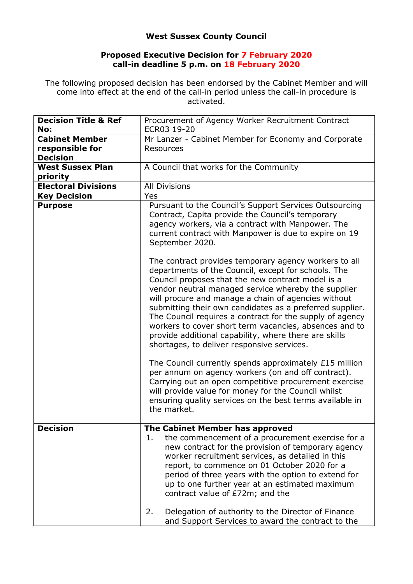## **West Sussex County Council**

## **Proposed Executive Decision for 7 February 2020 call-in deadline 5 p.m. on 18 February 2020**

The following proposed decision has been endorsed by the Cabinet Member and will come into effect at the end of the call-in period unless the call-in procedure is activated.

| <b>Decision Title &amp; Ref</b><br>No: | Procurement of Agency Worker Recruitment Contract<br>ECR03 19-20                                                                                                                                                                                                                                                                                                                                                                                                                                                                                                         |
|----------------------------------------|--------------------------------------------------------------------------------------------------------------------------------------------------------------------------------------------------------------------------------------------------------------------------------------------------------------------------------------------------------------------------------------------------------------------------------------------------------------------------------------------------------------------------------------------------------------------------|
| <b>Cabinet Member</b>                  | Mr Lanzer - Cabinet Member for Economy and Corporate                                                                                                                                                                                                                                                                                                                                                                                                                                                                                                                     |
| responsible for                        | <b>Resources</b>                                                                                                                                                                                                                                                                                                                                                                                                                                                                                                                                                         |
| <b>Decision</b>                        |                                                                                                                                                                                                                                                                                                                                                                                                                                                                                                                                                                          |
| <b>West Sussex Plan</b>                | A Council that works for the Community                                                                                                                                                                                                                                                                                                                                                                                                                                                                                                                                   |
| priority                               |                                                                                                                                                                                                                                                                                                                                                                                                                                                                                                                                                                          |
| <b>Electoral Divisions</b>             | <b>All Divisions</b>                                                                                                                                                                                                                                                                                                                                                                                                                                                                                                                                                     |
| <b>Key Decision</b>                    | Yes                                                                                                                                                                                                                                                                                                                                                                                                                                                                                                                                                                      |
| <b>Purpose</b>                         | Pursuant to the Council's Support Services Outsourcing<br>Contract, Capita provide the Council's temporary<br>agency workers, via a contract with Manpower. The<br>current contract with Manpower is due to expire on 19<br>September 2020.                                                                                                                                                                                                                                                                                                                              |
|                                        | The contract provides temporary agency workers to all<br>departments of the Council, except for schools. The<br>Council proposes that the new contract model is a<br>vendor neutral managed service whereby the supplier<br>will procure and manage a chain of agencies without<br>submitting their own candidates as a preferred supplier.<br>The Council requires a contract for the supply of agency<br>workers to cover short term vacancies, absences and to<br>provide additional capability, where there are skills<br>shortages, to deliver responsive services. |
|                                        | The Council currently spends approximately £15 million<br>per annum on agency workers (on and off contract).<br>Carrying out an open competitive procurement exercise<br>will provide value for money for the Council whilst<br>ensuring quality services on the best terms available in<br>the market.                                                                                                                                                                                                                                                                  |
| <b>Decision</b>                        | The Cabinet Member has approved                                                                                                                                                                                                                                                                                                                                                                                                                                                                                                                                          |
|                                        | 1.<br>the commencement of a procurement exercise for a<br>new contract for the provision of temporary agency<br>worker recruitment services, as detailed in this<br>report, to commence on 01 October 2020 for a<br>period of three years with the option to extend for<br>up to one further year at an estimated maximum<br>contract value of £72m; and the                                                                                                                                                                                                             |
|                                        | 2.<br>Delegation of authority to the Director of Finance<br>and Support Services to award the contract to the                                                                                                                                                                                                                                                                                                                                                                                                                                                            |